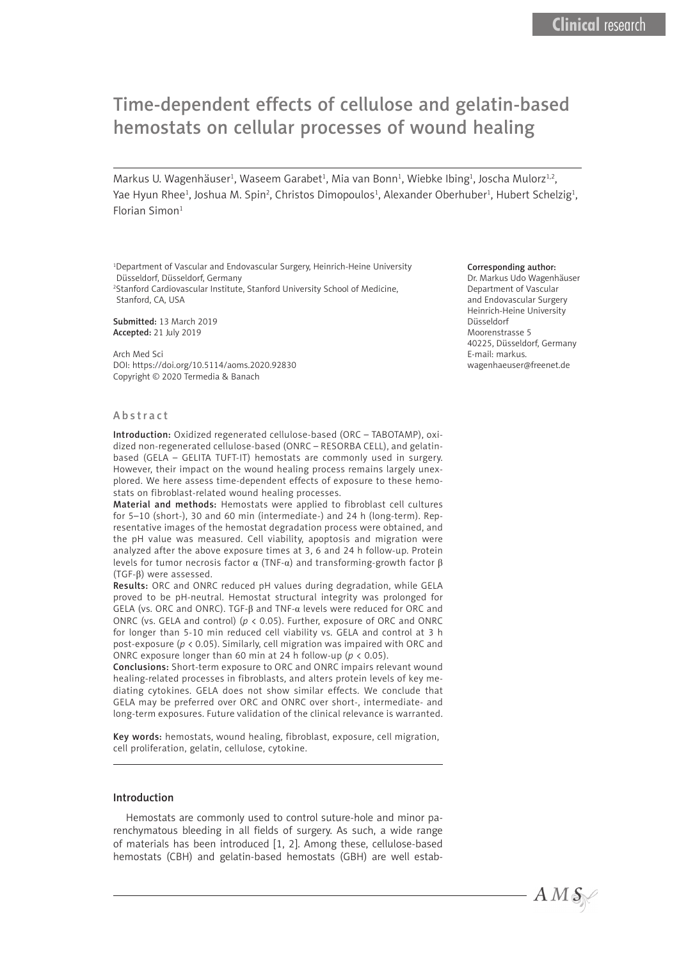# Time-dependent effects of cellulose and gelatin-based hemostats on cellular processes of wound healing

Markus U. Wagenhäuser<sup>1</sup>, Waseem Garabet<sup>1</sup>, Mia van Bonn<sup>1</sup>, Wiebke Ibing<sup>1</sup>, Joscha Mulorz<sup>1,2</sup>, Yae Hyun Rhee<sup>1</sup>, Joshua M. Spin<sup>2</sup>, Christos Dimopoulos<sup>1</sup>, Alexander Oberhuber<sup>1</sup>, Hubert Schelzig<sup>1</sup>, Florian Simon<sup>1</sup>

1 Department of Vascular and Endovascular Surgery, Heinrich-Heine University Düsseldorf, Düsseldorf, Germany 2 Stanford Cardiovascular Institute, Stanford University School of Medicine, Stanford, CA, USA

Submitted: 13 March 2019 Accepted: 21 July 2019

Arch Med Sci DOI: https://doi.org/10.5114/aoms.2020.92830 Copyright © 2020 Termedia & Banach

#### Corresponding author:

Dr. Markus Udo Wagenhäuser Department of Vascular and Endovascular Surgery Heinrich-Heine University Düsseldorf Moorenstrasse 5 40225, Düsseldorf, Germany E-mail: markus. wagenhaeuser@freenet.de

### Abstract

Introduction: Oxidized regenerated cellulose-based (ORC – TABOTAMP), oxidized non-regenerated cellulose-based (ONRC – RESORBA CELL), and gelatinbased (GELA – GELITA TUFT-IT) hemostats are commonly used in surgery. However, their impact on the wound healing process remains largely unexplored. We here assess time-dependent effects of exposure to these hemostats on fibroblast-related wound healing processes.

Material and methods: Hemostats were applied to fibroblast cell cultures for 5–10 (short-), 30 and 60 min (intermediate-) and 24 h (long-term). Representative images of the hemostat degradation process were obtained, and the pH value was measured. Cell viability, apoptosis and migration were analyzed after the above exposure times at 3, 6 and 24 h follow-up. Protein levels for tumor necrosis factor α (TNF-α) and transforming-growth factor β (TGF-β) were assessed.

Results: ORC and ONRC reduced pH values during degradation, while GELA proved to be pH-neutral. Hemostat structural integrity was prolonged for GELA (vs. ORC and ONRC). TGF-β and TNF-α levels were reduced for ORC and ONRC (vs. GELA and control) (*p* < 0.05). Further, exposure of ORC and ONRC for longer than 5-10 min reduced cell viability vs. GELA and control at 3 h post-exposure (*p* < 0.05). Similarly, cell migration was impaired with ORC and ONRC exposure longer than 60 min at 24 h follow-up ( $p < 0.05$ ).

Conclusions: Short-term exposure to ORC and ONRC impairs relevant wound healing-related processes in fibroblasts, and alters protein levels of key mediating cytokines. GELA does not show similar effects. We conclude that GELA may be preferred over ORC and ONRC over short-, intermediate- and long-term exposures. Future validation of the clinical relevance is warranted.

Key words: hemostats, wound healing, fibroblast, exposure, cell migration, cell proliferation, gelatin, cellulose, cytokine.

## Introduction

Hemostats are commonly used to control suture-hole and minor parenchymatous bleeding in all fields of surgery. As such, a wide range of materials has been introduced [1, 2]. Among these, cellulose-based hemostats (CBH) and gelatin-based hemostats (GBH) are well estab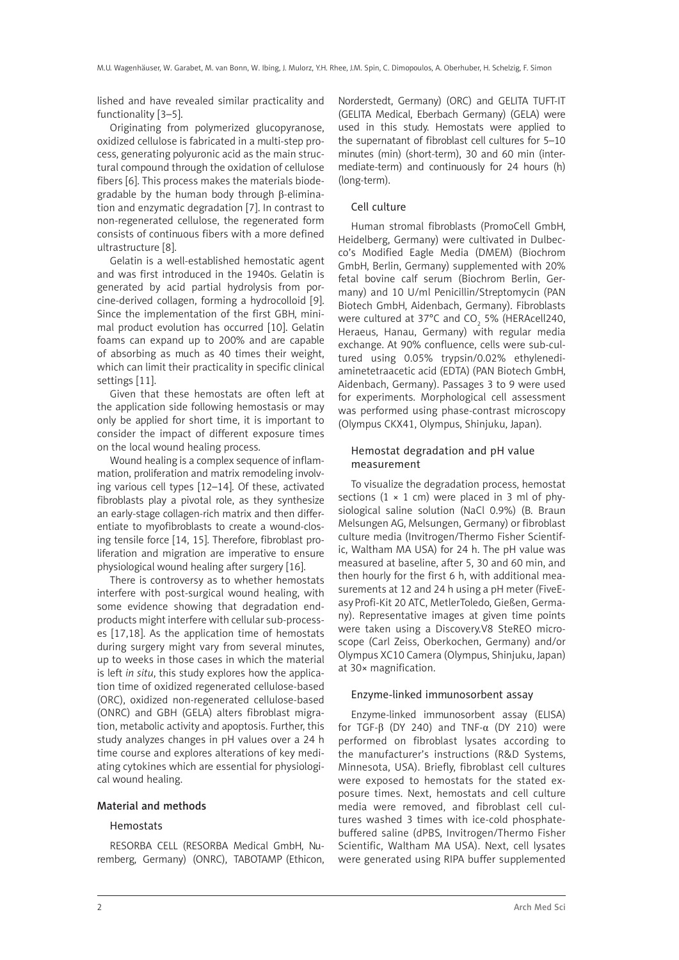lished and have revealed similar practicality and functionality [3–5].

Originating from polymerized glucopyranose, oxidized cellulose is fabricated in a multi-step process, generating polyuronic acid as the main structural compound through the oxidation of cellulose fibers [6]. This process makes the materials biodegradable by the human body through β-elimination and enzymatic degradation [7]. In contrast to non-regenerated cellulose, the regenerated form consists of continuous fibers with a more defined ultrastructure [8].

Gelatin is a well-established hemostatic agent and was first introduced in the 1940s. Gelatin is generated by acid partial hydrolysis from porcine-derived collagen, forming a hydrocolloid [9]. Since the implementation of the first GBH, minimal product evolution has occurred [10]. Gelatin foams can expand up to 200% and are capable of absorbing as much as 40 times their weight, which can limit their practicality in specific clinical settings [11].

Given that these hemostats are often left at the application side following hemostasis or may only be applied for short time, it is important to consider the impact of different exposure times on the local wound healing process.

Wound healing is a complex sequence of inflammation, proliferation and matrix remodeling involving various cell types [12–14]. Of these, activated fibroblasts play a pivotal role, as they synthesize an early-stage collagen-rich matrix and then differentiate to myofibroblasts to create a wound-closing tensile force [14, 15]. Therefore, fibroblast proliferation and migration are imperative to ensure physiological wound healing after surgery [16].

There is controversy as to whether hemostats interfere with post-surgical wound healing, with some evidence showing that degradation endproducts might interfere with cellular sub-processes [17,18]. As the application time of hemostats during surgery might vary from several minutes, up to weeks in those cases in which the material is left *in situ*, this study explores how the application time of oxidized regenerated cellulose-based (ORC), oxidized non-regenerated cellulose-based (ONRC) and GBH (GELA) alters fibroblast migration, metabolic activity and apoptosis. Further, this study analyzes changes in pH values over a 24 h time course and explores alterations of key mediating cytokines which are essential for physiological wound healing.

# Material and methods

# **Hemostats**

RESORBA CELL (RESORBA Medical GmbH, Nuremberg, Germany) (ONRC), TABOTAMP (Ethicon, Norderstedt, Germany) (ORC) and GELITA TUFT-IT (GELITA Medical, Eberbach Germany) (GELA) were used in this study. Hemostats were applied to the supernatant of fibroblast cell cultures for 5–10 minutes (min) (short-term), 30 and 60 min (intermediate-term) and continuously for 24 hours (h) (long-term).

# Cell culture

Human stromal fibroblasts (PromoCell GmbH, Heidelberg, Germany) were cultivated in Dulbecco's Modified Eagle Media (DMEM) (Biochrom GmbH, Berlin, Germany) supplemented with 20% fetal bovine calf serum (Biochrom Berlin, Germany) and 10 U/ml Penicillin/Streptomycin (PAN Biotech GmbH, Aidenbach, Germany). Fibroblasts were cultured at 37°C and CO<sub>2</sub> 5% (HERAcell240, Heraeus, Hanau, Germany) with regular media exchange. At 90% confluence, cells were sub-cultured using 0.05% trypsin/0.02% ethylenediaminetetraacetic acid (EDTA) (PAN Biotech GmbH, Aidenbach, Germany). Passages 3 to 9 were used for experiments. Morphological cell assessment was performed using phase-contrast microscopy (Olympus CKX41, Olympus, Shinjuku, Japan).

# Hemostat degradation and pH value measurement

To visualize the degradation process, hemostat sections (1  $\times$  1 cm) were placed in 3 ml of physiological saline solution (NaCl 0.9%) (B. Braun Melsungen AG, Melsungen, Germany) or fibroblast culture media (Invitrogen/Thermo Fisher Scientific, Waltham MA USA) for 24 h. The pH value was measured at baseline, after 5, 30 and 60 min, and then hourly for the first 6 h, with additional measurements at 12 and 24 h using a pH meter (FiveEasyProfi-Kit 20 ATC, MetlerToledo, Gießen, Germany). Representative images at given time points were taken using a Discovery.V8 SteREO microscope (Carl Zeiss, Oberkochen, Germany) and/or Olympus XC10 Camera (Olympus, Shinjuku, Japan) at 30× magnification.

# Enzyme-linked immunosorbent assay

Enzyme-linked immunosorbent assay (ELISA) for TGF-β (DY 240) and TNF-α (DY 210) were performed on fibroblast lysates according to the manufacturer's instructions (R&D Systems, Minnesota, USA). Briefly, fibroblast cell cultures were exposed to hemostats for the stated exposure times. Next, hemostats and cell culture media were removed, and fibroblast cell cultures washed 3 times with ice-cold phosphatebuffered saline (dPBS, Invitrogen/Thermo Fisher Scientific, Waltham MA USA). Next, cell lysates were generated using RIPA buffer supplemented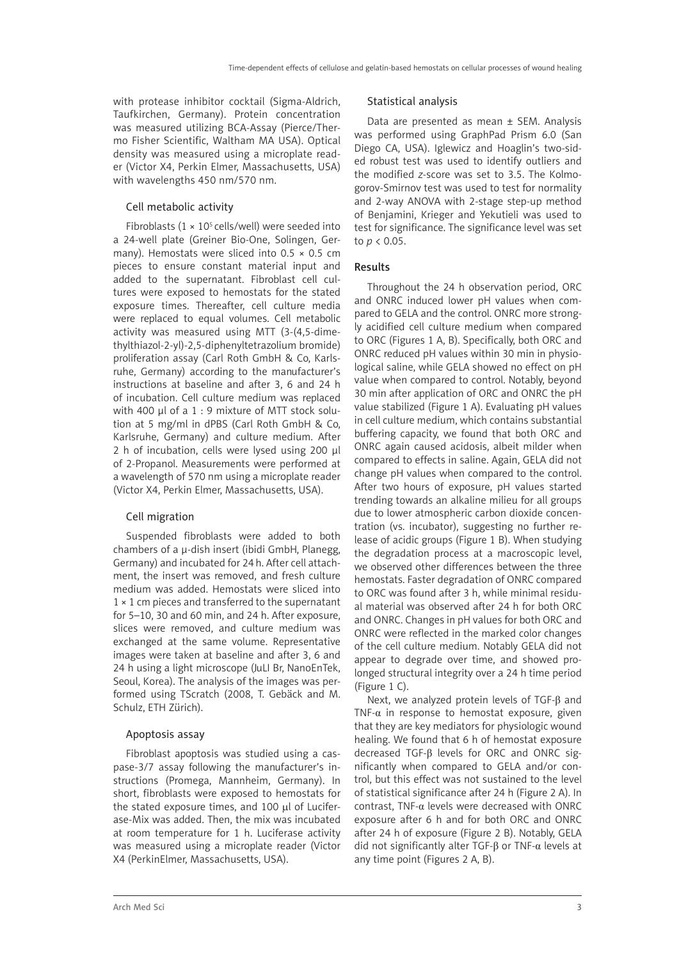with protease inhibitor cocktail (Sigma-Aldrich, Taufkirchen, Germany). Protein concentration was measured utilizing BCA-Assay (Pierce/Thermo Fisher Scientific, Waltham MA USA). Optical density was measured using a microplate reader (Victor X4, Perkin Elmer, Massachusetts, USA) with wavelengths 450 nm/570 nm.

# Cell metabolic activity

Fibroblasts ( $1 \times 10^5$  cells/well) were seeded into a 24-well plate (Greiner Bio-One, Solingen, Germany). Hemostats were sliced into  $0.5 \times 0.5$  cm pieces to ensure constant material input and added to the supernatant. Fibroblast cell cultures were exposed to hemostats for the stated exposure times. Thereafter, cell culture media were replaced to equal volumes. Cell metabolic activity was measured using MTT (3-(4,5-dimethylthiazol-2-yl)-2,5-diphenyltetrazolium bromide) proliferation assay (Carl Roth GmbH & Co, Karlsruhe, Germany) according to the manufacturer's instructions at baseline and after 3, 6 and 24 h of incubation. Cell culture medium was replaced with 400 µl of a 1 : 9 mixture of MTT stock solution at 5 mg/ml in dPBS (Carl Roth GmbH & Co, Karlsruhe, Germany) and culture medium. After 2 h of incubation, cells were lysed using 200 µl of 2-Propanol. Measurements were performed at a wavelength of 570 nm using a microplate reader (Victor X4, Perkin Elmer, Massachusetts, USA).

# Cell migration

Suspended fibroblasts were added to both chambers of a µ-dish insert (ibidi GmbH, Planegg, Germany) and incubated for 24h. After cell attachment, the insert was removed, and fresh culture medium was added. Hemostats were sliced into 1 × 1 cm pieces and transferred to the supernatant for 5–10, 30 and 60 min, and 24 h. After exposure, slices were removed, and culture medium was exchanged at the same volume. Representative images were taken at baseline and after 3, 6 and 24 h using a light microscope (JuLI Br, NanoEnTek, Seoul, Korea). The analysis of the images was performed using TScratch (2008, T. Gebäck and M. Schulz, ETH Zürich).

# Apoptosis assay

Fibroblast apoptosis was studied using a caspase-3/7 assay following the manufacturer's instructions (Promega, Mannheim, Germany). In short, fibroblasts were exposed to hemostats for the stated exposure times, and 100 ul of Luciferase-Mix was added. Then, the mix was incubated at room temperature for 1 h. Luciferase activity was measured using a microplate reader (Victor X4 (PerkinElmer, Massachusetts, USA).

## Statistical analysis

Data are presented as mean ± SEM. Analysis was performed using GraphPad Prism 6.0 (San Diego CA, USA). Iglewicz and Hoaglin's two-sided robust test was used to identify outliers and the modified *z*-score was set to 3.5. The Kolmogorov-Smirnov test was used to test for normality and 2-way ANOVA with 2-stage step-up method of Benjamini, Krieger and Yekutieli was used to test for significance. The significance level was set to *p* < 0.05.

# Results

Throughout the 24 h observation period, ORC and ONRC induced lower pH values when compared to GELA and the control. ONRC more strongly acidified cell culture medium when compared to ORC (Figures 1 A, B). Specifically, both ORC and ONRC reduced pH values within 30 min in physiological saline, while GELA showed no effect on pH value when compared to control. Notably, beyond 30 min after application of ORC and ONRC the pH value stabilized (Figure 1 A). Evaluating pH values in cell culture medium, which contains substantial buffering capacity, we found that both ORC and ONRC again caused acidosis, albeit milder when compared to effects in saline. Again, GELA did not change pH values when compared to the control. After two hours of exposure, pH values started trending towards an alkaline milieu for all groups due to lower atmospheric carbon dioxide concentration (vs. incubator), suggesting no further release of acidic groups (Figure 1 B). When studying the degradation process at a macroscopic level, we observed other differences between the three hemostats. Faster degradation of ONRC compared to ORC was found after 3 h, while minimal residual material was observed after 24 h for both ORC and ONRC. Changes in pH values for both ORC and ONRC were reflected in the marked color changes of the cell culture medium. Notably GELA did not appear to degrade over time, and showed prolonged structural integrity over a 24 h time period (Figure 1 C).

Next, we analyzed protein levels of TGF-β and TNF- $\alpha$  in response to hemostat exposure, given that they are key mediators for physiologic wound healing. We found that 6 h of hemostat exposure decreased TGF-β levels for ORC and ONRC significantly when compared to GELA and/or control, but this effect was not sustained to the level of statistical significance after 24 h (Figure 2 A). In contrast, TNF-α levels were decreased with ONRC exposure after 6 h and for both ORC and ONRC after 24 h of exposure (Figure 2 B). Notably, GELA did not significantly alter TGF-β or TNF-α levels at any time point (Figures 2 A, B).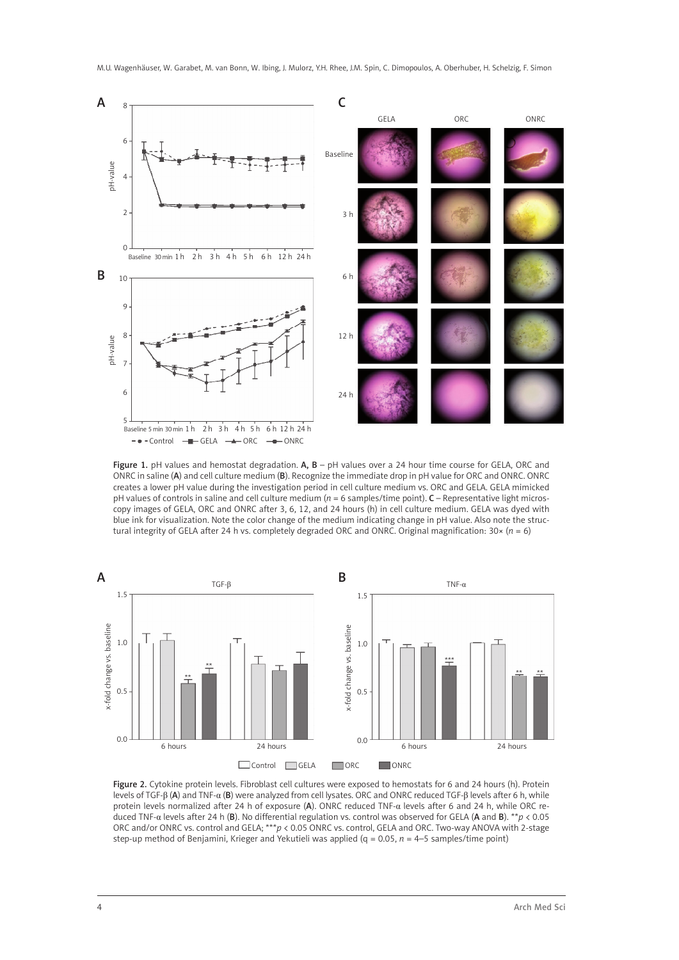

Figure 1. pH values and hemostat degradation. A,  $B$  – pH values over a 24 hour time course for GELA, ORC and ONRC in saline (A) and cell culture medium (B). Recognize the immediate drop in pH value for ORC and ONRC. ONRC creates a lower pH value during the investigation period in cell culture medium vs. ORC and GELA. GELA mimicked pH values of controls in saline and cell culture medium (*n* = 6 samples/time point). C – Representative light microscopy images of GELA, ORC and ONRC after 3, 6, 12, and 24 hours (h) in cell culture medium. GELA was dyed with blue ink for visualization. Note the color change of the medium indicating change in pH value. Also note the structural integrity of GELA after 24 h vs. completely degraded ORC and ONRC. Original magnification: 30× (*n* = 6)



Figure 2. Cytokine protein levels. Fibroblast cell cultures were exposed to hemostats for 6 and 24 hours (h). Protein levels of TGF-β (A) and TNF-α (B) were analyzed from cell lysates. ORC and ONRC reduced TGF-β levels after 6 h, while protein levels normalized after 24 h of exposure (A). ONRC reduced TNF-α levels after 6 and 24 h, while ORC reduced TNF-α levels after 24 h (B). No differential regulation vs. control was observed for GELA (A and B). \*\**p* < 0.05 ORC and/or ONRC vs. control and GELA; \*\*\**p* < 0.05 ONRC vs. control, GELA and ORC. Two-way ANOVA with 2-stage step-up method of Benjamini, Krieger and Yekutieli was applied (q = 0.05, *n* = 4–5 samples/time point)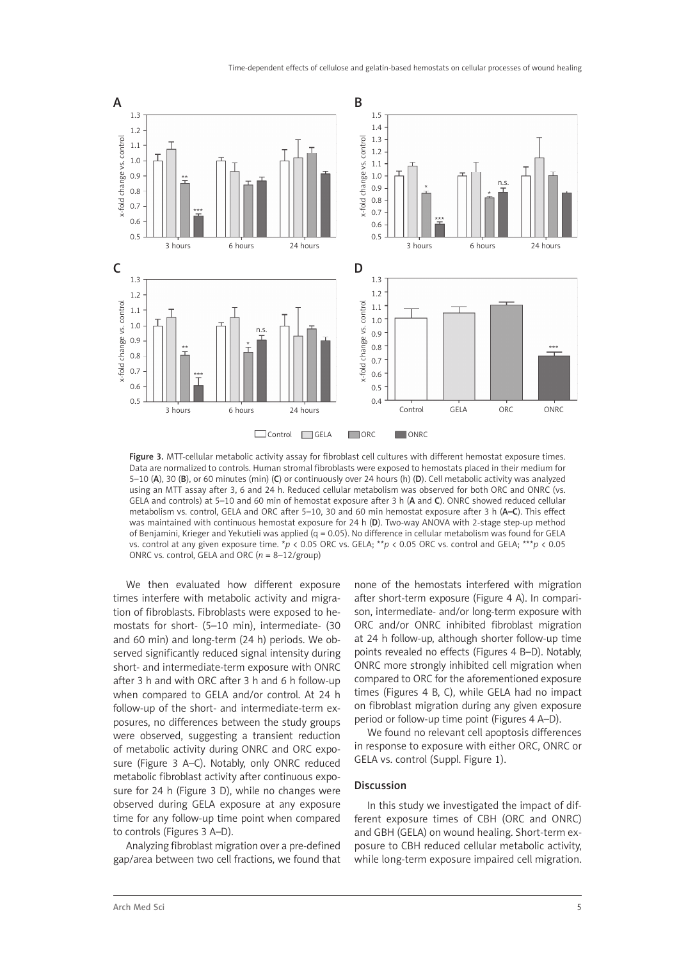

Figure 3. MTT-cellular metabolic activity assay for fibroblast cell cultures with different hemostat exposure times. Data are normalized to controls. Human stromal fibroblasts were exposed to hemostats placed in their medium for 5–10 (A), 30 (B), or 60 minutes (min) (C) or continuously over 24 hours (h) (D). Cell metabolic activity was analyzed using an MTT assay after 3, 6 and 24 h. Reduced cellular metabolism was observed for both ORC and ONRC (vs. GELA and controls) at 5–10 and 60 min of hemostat exposure after 3 h (A and C). ONRC showed reduced cellular metabolism vs. control, GELA and ORC after 5–10, 30 and 60 min hemostat exposure after 3 h (A–C). This effect was maintained with continuous hemostat exposure for 24 h (D). Two-way ANOVA with 2-stage step-up method of Benjamini, Krieger and Yekutieli was applied (q = 0.05). No difference in cellular metabolism was found for GELA vs. control at any given exposure time. \**p* < 0.05 ORC vs. GELA; \*\**p* < 0.05 ORC vs. control and GELA; \*\*\**p* < 0.05 ONRC vs. control, GELA and ORC (*n* = 8–12/group)

We then evaluated how different exposure times interfere with metabolic activity and migration of fibroblasts. Fibroblasts were exposed to hemostats for short- (5–10 min), intermediate- (30 and 60 min) and long-term (24 h) periods. We observed significantly reduced signal intensity during short- and intermediate-term exposure with ONRC after 3 h and with ORC after 3 h and 6 h follow-up when compared to GELA and/or control. At 24 h follow-up of the short- and intermediate-term exposures, no differences between the study groups were observed, suggesting a transient reduction of metabolic activity during ONRC and ORC exposure (Figure 3 A–C). Notably, only ONRC reduced metabolic fibroblast activity after continuous exposure for 24 h (Figure 3 D), while no changes were observed during GELA exposure at any exposure time for any follow-up time point when compared to controls (Figures 3 A–D).

Analyzing fibroblast migration over a pre-defined gap/area between two cell fractions, we found that

none of the hemostats interfered with migration after short-term exposure (Figure 4 A). In comparison, intermediate- and/or long-term exposure with ORC and/or ONRC inhibited fibroblast migration at 24 h follow-up, although shorter follow-up time points revealed no effects (Figures 4 B–D). Notably, ONRC more strongly inhibited cell migration when compared to ORC for the aforementioned exposure times (Figures 4 B, C), while GELA had no impact on fibroblast migration during any given exposure period or follow-up time point (Figures 4 A–D).

We found no relevant cell apoptosis differences in response to exposure with either ORC, ONRC or GELA vs. control (Suppl. Figure 1).

### Discussion

In this study we investigated the impact of different exposure times of CBH (ORC and ONRC) and GBH (GELA) on wound healing. Short-term exposure to CBH reduced cellular metabolic activity, while long-term exposure impaired cell migration.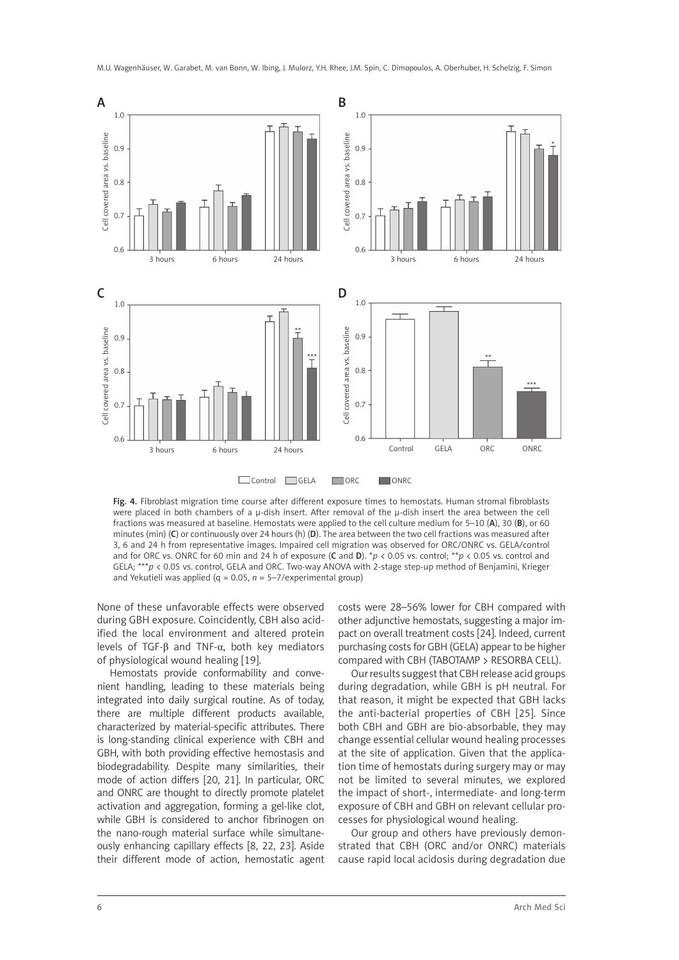

Fig. 4. Fibroblast migration time course after different exposure times to hemostats. Human stromal fibroblasts were placed in both chambers of a µ-dish insert. After removal of the µ-dish insert the area between the cell fractions was measured at baseline. Hemostats were applied to the cell culture medium for 5–10 (A), 30 (B), or 60 minutes (min) (C) or continuously over 24 hours (h) (D). The area between the two cell fractions was measured after 3, 6 and 24 h from representative images. Impaired cell migration was observed for ORC/ONRC vs. GELA/control and for ORC vs. ONRC for 60 min and 24 h of exposure (C and D).  $*p < 0.05$  vs. control;  $*p < 0.05$  vs. control and GELA; \*\*\**p* < 0.05 vs. control, GELA and ORC. Two-way ANOVA with 2-stage step-up method of Benjamini, Krieger and Yekutieli was applied (q = 0.05, *n* = 5–7/experimental group)

None of these unfavorable effects were observed during GBH exposure. Coincidently, CBH also acidified the local environment and altered protein levels of TGF-β and TNF-α, both key mediators of physiological wound healing [19].

Hemostats provide conformability and convenient handling, leading to these materials being integrated into daily surgical routine. As of today, there are multiple different products available, characterized by material-specific attributes. There is long-standing clinical experience with CBH and GBH, with both providing effective hemostasis and biodegradability. Despite many similarities, their mode of action differs [20, 21]. In particular, ORC and ONRC are thought to directly promote platelet activation and aggregation, forming a gel-like clot, while GBH is considered to anchor fibrinogen on the nano-rough material surface while simultaneously enhancing capillary effects [8, 22, 23]. Aside their different mode of action, hemostatic agent costs were 28–56% lower for CBH compared with other adjunctive hemostats, suggesting a major impact on overall treatment costs [24]. Indeed, current purchasing costs for GBH (GELA) appear to be higher compared with CBH (TABOTAMP > RESORBA CELL).

Our results suggest that CBH release acid groups during degradation, while GBH is pH neutral. For that reason, it might be expected that GBH lacks the anti-bacterial properties of CBH [25]. Since both CBH and GBH are bio-absorbable, they may change essential cellular wound healing processes at the site of application. Given that the application time of hemostats during surgery may or may not be limited to several minutes, we explored the impact of short-, intermediate- and long-term exposure of CBH and GBH on relevant cellular processes for physiological wound healing.

Our group and others have previously demonstrated that CBH (ORC and/or ONRC) materials cause rapid local acidosis during degradation due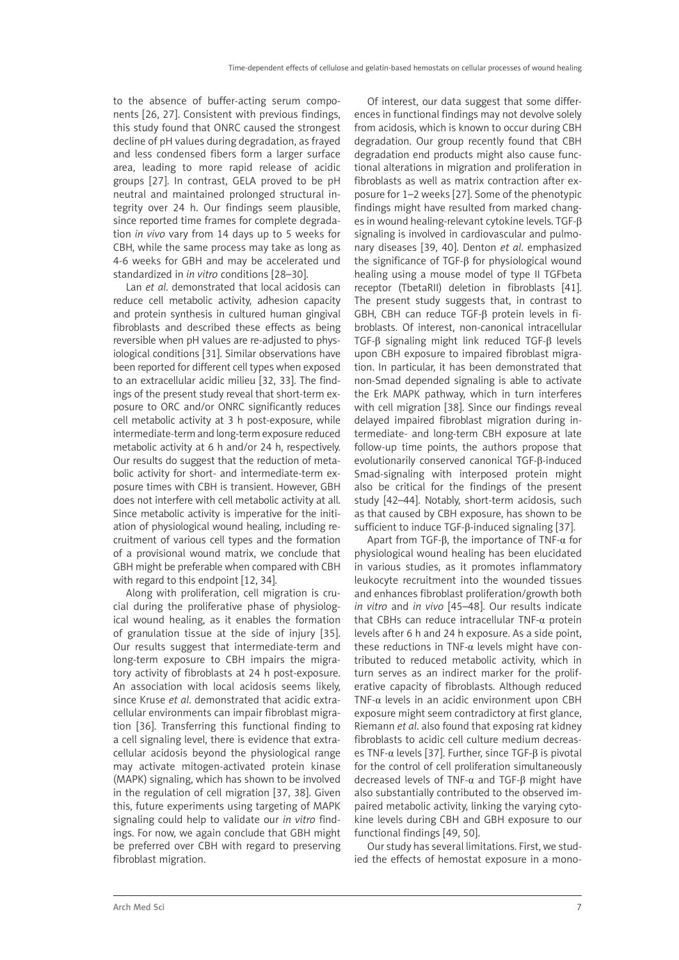to the absence of buffer-acting serum components [26, 27]. Consistent with previous findings, this study found that ONRC caused the strongest decline of pH values during degradation, as frayed and less condensed fibers form a larger surface area, leading to more rapid release of acidic groups [27]. In contrast, GELA proved to be pH neutral and maintained prolonged structural integrity over 24 h. Our findings seem plausible, since reported time frames for complete degradation *in vivo* vary from 14 days up to 5 weeks for CBH, while the same process may take as long as 4-6 weeks for GBH and may be accelerated und standardized in *in vitro* conditions [28–30].

Lan *et al*. demonstrated that local acidosis can reduce cell metabolic activity, adhesion capacity and protein synthesis in cultured human gingival fibroblasts and described these effects as being reversible when pH values are re-adjusted to physiological conditions [31]. Similar observations have been reported for different cell types when exposed to an extracellular acidic milieu [32, 33]. The findings of the present study reveal that short-term exposure to ORC and/or ONRC significantly reduces cell metabolic activity at 3 h post-exposure, while intermediate-term and long-term exposure reduced metabolic activity at 6 h and/or 24 h, respectively. Our results do suggest that the reduction of metabolic activity for short- and intermediate-term exposure times with CBH is transient. However, GBH does not interfere with cell metabolic activity at all. Since metabolic activity is imperative for the initiation of physiological wound healing, including recruitment of various cell types and the formation of a provisional wound matrix, we conclude that GBH might be preferable when compared with CBH with regard to this endpoint [12, 34].

Along with proliferation, cell migration is crucial during the proliferative phase of physiological wound healing, as it enables the formation of granulation tissue at the side of injury [35]. Our results suggest that intermediate-term and long-term exposure to CBH impairs the migratory activity of fibroblasts at 24 h post-exposure. An association with local acidosis seems likely, since Kruse *et al*. demonstrated that acidic extracellular environments can impair fibroblast migration [36]. Transferring this functional finding to a cell signaling level, there is evidence that extracellular acidosis beyond the physiological range may activate mitogen-activated protein kinase (MAPK) signaling, which has shown to be involved in the regulation of cell migration [37, 38]. Given this, future experiments using targeting of MAPK signaling could help to validate our *in vitro* findings. For now, we again conclude that GBH might be preferred over CBH with regard to preserving fibroblast migration.

Of interest, our data suggest that some differences in functional findings may not devolve solely from acidosis, which is known to occur during CBH degradation. Our group recently found that CBH degradation end products might also cause functional alterations in migration and proliferation in fibroblasts as well as matrix contraction after exposure for 1–2 weeks [27]. Some of the phenotypic findings might have resulted from marked changes in wound healing-relevant cytokine levels. TGF-β signaling is involved in cardiovascular and pulmonary diseases [39, 40]. Denton *et al*. emphasized the significance of TGF-β for physiological wound healing using a mouse model of type II TGFbeta receptor (TbetaRII) deletion in fibroblasts [41]. The present study suggests that, in contrast to GBH, CBH can reduce TGF-β protein levels in fibroblasts. Of interest, non-canonical intracellular TGF-β signaling might link reduced TGF-β levels upon CBH exposure to impaired fibroblast migration. In particular, it has been demonstrated that non-Smad depended signaling is able to activate the Erk MAPK pathway, which in turn interferes with cell migration [38]. Since our findings reveal delayed impaired fibroblast migration during intermediate- and long-term CBH exposure at late follow-up time points, the authors propose that evolutionarily conserved canonical TGF-β-induced Smad-signaling with interposed protein might also be critical for the findings of the present study [42–44]. Notably, short-term acidosis, such as that caused by CBH exposure, has shown to be sufficient to induce TGF-β-induced signaling [37].

Apart from TGF-β, the importance of TNF-α for physiological wound healing has been elucidated in various studies, as it promotes inflammatory leukocyte recruitment into the wounded tissues and enhances fibroblast proliferation/growth both *in vitro* and *in vivo* [45–48]. Our results indicate that CBHs can reduce intracellular TNF-α protein levels after 6 h and 24 h exposure. As a side point, these reductions in TNF- $\alpha$  levels might have contributed to reduced metabolic activity, which in turn serves as an indirect marker for the proliferative capacity of fibroblasts. Although reduced TNF-α levels in an acidic environment upon CBH exposure might seem contradictory at first glance, Riemann *et al*. also found that exposing rat kidney fibroblasts to acidic cell culture medium decreases TNF-α levels [37]. Further, since TGF-β is pivotal for the control of cell proliferation simultaneously decreased levels of TNF-α and TGF-β might have also substantially contributed to the observed impaired metabolic activity, linking the varying cytokine levels during CBH and GBH exposure to our functional findings [49, 50].

Our study has several limitations. First, we studied the effects of hemostat exposure in a mono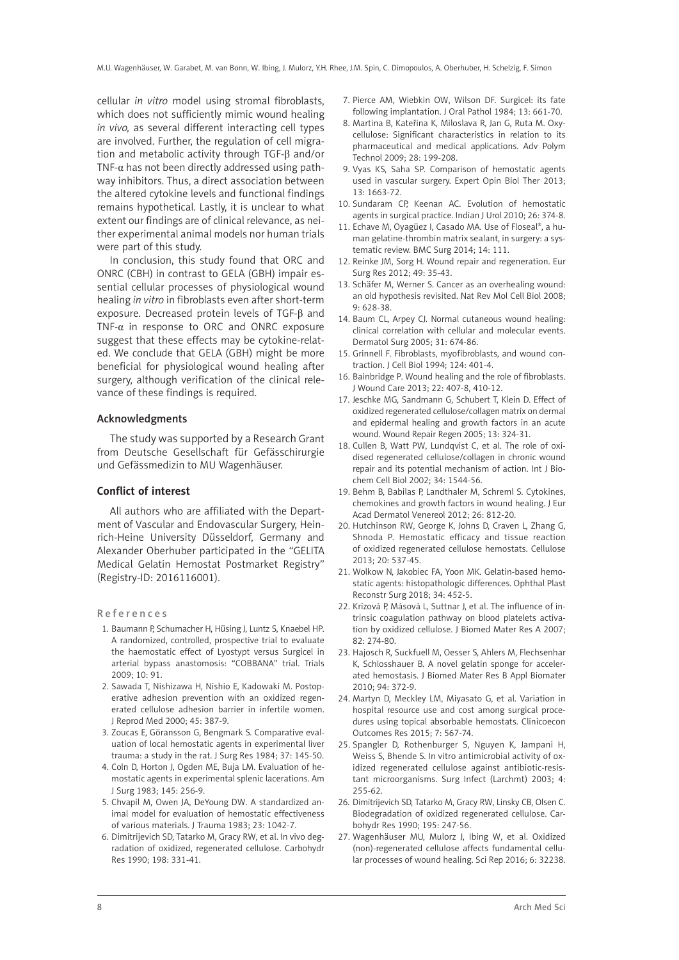cellular *in vitro* model using stromal fibroblasts, which does not sufficiently mimic wound healing *in vivo,* as several different interacting cell types are involved. Further, the regulation of cell migration and metabolic activity through TGF-β and/or TNF- $\alpha$  has not been directly addressed using pathway inhibitors. Thus, a direct association between the altered cytokine levels and functional findings remains hypothetical. Lastly, it is unclear to what extent our findings are of clinical relevance, as neither experimental animal models nor human trials were part of this study.

In conclusion, this study found that ORC and ONRC (CBH) in contrast to GELA (GBH) impair essential cellular processes of physiological wound healing *in vitro* in fibroblasts even after short-term exposure. Decreased protein levels of TGF-β and TNF-α in response to ORC and ONRC exposure suggest that these effects may be cytokine-related. We conclude that GELA (GBH) might be more beneficial for physiological wound healing after surgery, although verification of the clinical relevance of these findings is required.

## Acknowledgments

The study was supported by a Research Grant from Deutsche Gesellschaft für Gefässchirurgie und Gefässmedizin to MU Wagenhäuser.

## **Conflict of interest**

All authors who are affiliated with the Department of Vascular and Endovascular Surgery, Heinrich-Heine University Düsseldorf, Germany and Alexander Oberhuber participated in the "GELITA Medical Gelatin Hemostat Postmarket Registry" (Registry-ID: 2016116001).

References

- 1. Baumann P, Schumacher H, Hüsing J, Luntz S, Knaebel HP. A randomized, controlled, prospective trial to evaluate the haemostatic effect of Lyostypt versus Surgicel in arterial bypass anastomosis: "COBBANA" trial. Trials 2009; 10: 91.
- 2. Sawada T, Nishizawa H, Nishio E, Kadowaki M. Postoperative adhesion prevention with an oxidized regenerated cellulose adhesion barrier in infertile women. J Reprod Med 2000; 45: 387-9.
- 3. Zoucas E, Göransson G, Bengmark S. Comparative evaluation of local hemostatic agents in experimental liver trauma: a study in the rat. J Surg Res 1984; 37: 145-50.
- 4. Coln D, Horton J, Ogden ME, Buja LM. Evaluation of hemostatic agents in experimental splenic lacerations. Am J Surg 1983; 145: 256-9.
- 5. Chvapil M, Owen JA, DeYoung DW. A standardized animal model for evaluation of hemostatic effectiveness of various materials. J Trauma 1983; 23: 1042-7.
- 6. Dimitrijevich SD, Tatarko M, Gracy RW, et al. In vivo degradation of oxidized, regenerated cellulose. Carbohydr Res 1990; 198: 331-41.
- 7. Pierce AM, Wiebkin OW, Wilson DF. Surgicel: its fate following implantation. J Oral Pathol 1984; 13: 661-70.
- 8. Martina B, Kateřina K, Miloslava R, Jan G, Ruta M. Oxycellulose: Significant characteristics in relation to its pharmaceutical and medical applications. Adv Polym Technol 2009; 28: 199-208.
- 9. Vyas KS, Saha SP. Comparison of hemostatic agents used in vascular surgery. Expert Opin Biol Ther 2013; 13: 1663-72.
- 10. Sundaram CP, Keenan AC. Evolution of hemostatic agents in surgical practice. Indian J Urol 2010; 26: 374-8.
- 11. Echave M, Oyagüez I, Casado MA. Use of Floseal®, a human gelatine-thrombin matrix sealant, in surgery: a systematic review. BMC Surg 2014; 14: 111.
- 12. Reinke JM, Sorg H. Wound repair and regeneration. Eur Surg Res 2012; 49: 35-43.
- 13. Schäfer M, Werner S. Cancer as an overhealing wound: an old hypothesis revisited. Nat Rev Mol Cell Biol 2008; 9: 628-38.
- 14. Baum CL, Arpey CJ. Normal cutaneous wound healing: clinical correlation with cellular and molecular events. Dermatol Surg 2005; 31: 674-86.
- 15. Grinnell F. Fibroblasts, myofibroblasts, and wound contraction. J Cell Biol 1994; 124: 401-4.
- 16. Bainbridge P. Wound healing and the role of fibroblasts. J Wound Care 2013; 22: 407-8, 410-12.
- 17. Jeschke MG, Sandmann G, Schubert T, Klein D. Effect of oxidized regenerated cellulose/collagen matrix on dermal and epidermal healing and growth factors in an acute wound. Wound Repair Regen 2005; 13: 324-31.
- 18. Cullen B, Watt PW, Lundqvist C, et al. The role of oxidised regenerated cellulose/collagen in chronic wound repair and its potential mechanism of action. Int J Biochem Cell Biol 2002; 34: 1544-56.
- 19. Behm B, Babilas P, Landthaler M, Schreml S. Cytokines, chemokines and growth factors in wound healing. J Eur Acad Dermatol Venereol 2012; 26: 812-20.
- 20. Hutchinson RW, George K, Johns D, Craven L, Zhang G, Shnoda P. Hemostatic efficacy and tissue reaction of oxidized regenerated cellulose hemostats. Cellulose 2013; 20: 537-45.
- 21. Wolkow N, Jakobiec FA, Yoon MK. Gelatin-based hemostatic agents: histopathologic differences. Ophthal Plast Reconstr Surg 2018; 34: 452-5.
- 22. Krízová P, Másová L, Suttnar J, et al. The influence of intrinsic coagulation pathway on blood platelets activation by oxidized cellulose. J Biomed Mater Res A 2007; 82: 274-80.
- 23. Hajosch R, Suckfuell M, Oesser S, Ahlers M, Flechsenhar K, Schlosshauer B. A novel gelatin sponge for accelerated hemostasis. J Biomed Mater Res B Appl Biomater 2010; 94: 372-9.
- 24. Martyn D, Meckley LM, Miyasato G, et al. Variation in hospital resource use and cost among surgical procedures using topical absorbable hemostats. Clinicoecon Outcomes Res 2015; 7: 567-74.
- 25. Spangler D, Rothenburger S, Nguyen K, Jampani H, Weiss S, Bhende S. In vitro antimicrobial activity of oxidized regenerated cellulose against antibiotic-resistant microorganisms. Surg Infect (Larchmt) 2003; 4: 255-62.
- 26. Dimitrijevich SD, Tatarko M, Gracy RW, Linsky CB, Olsen C. Biodegradation of oxidized regenerated cellulose. Carbohydr Res 1990; 195: 247-56.
- 27. Wagenhäuser MU, Mulorz J, Ibing W, et al. Oxidized (non)-regenerated cellulose affects fundamental cellular processes of wound healing. Sci Rep 2016; 6: 32238.